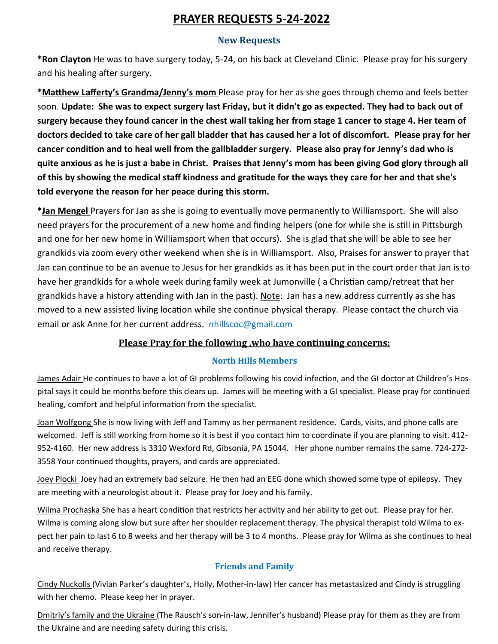# **PRAYER REQUESTS 5-24-2022**

### **New Requests**

**\*Ron Clayton** He was to have surgery today, 5-24, on his back at Cleveland Clinic. Please pray for his surgery and his healing after surgery.

**\*Matthew Lafferty's Grandma/Jenny's mom** Please pray for her as she goes through chemo and feels better soon. **Update: She was to expect surgery last Friday, but it didn't go as expected. They had to back out of surgery because they found cancer in the chest wall taking her from stage 1 cancer to stage 4. Her team of doctors decided to take care of her gall bladder that has caused her a lot of discomfort. Please pray for her cancer condition and to heal well from the gallbladder surgery. Please also pray for Jenny's dad who is quite anxious as he is just a babe in Christ. Praises that Jenny's mom has been giving God glory through all of this by showing the medical staff kindness and gratitude for the ways they care for her and that she's told everyone the reason for her peace during this storm.**

**\*Jan Mengel** Prayers for Jan as she is going to eventually move permanently to Williamsport. She will also need prayers for the procurement of a new home and finding helpers (one for while she is still in Pittsburgh and one for her new home in Williamsport when that occurs). She is glad that she will be able to see her grandkids via zoom every other weekend when she is in Williamsport. Also, Praises for answer to prayer that Jan can continue to be an avenue to Jesus for her grandkids as it has been put in the court order that Jan is to have her grandkids for a whole week during family week at Jumonville ( a Christian camp/retreat that her grandkids have a history attending with Jan in the past). Note: Jan has a new address currently as she has moved to a new assisted living location while she continue physical therapy. Please contact the church via email or ask Anne for her current address. nhillscoc@gmail.com

### **Please Pray for the following ,who have continuing concerns:**

### **North Hills Members**

James Adair He continues to have a lot of GI problems following his covid infection, and the GI doctor at Children's Hospital says it could be months before this clears up. James will be meeting with a GI specialist. Please pray for continued healing, comfort and helpful information from the specialist.

Joan Wolfgong She is now living with Jeff and Tammy as her permanent residence. Cards, visits, and phone calls are welcomed. Jeff is still working from home so it is best if you contact him to coordinate if you are planning to visit. 412- 952-4160. Her new address is 3310 Wexford Rd, Gibsonia, PA 15044. Her phone number remains the same. 724-272- 3558 Your continued thoughts, prayers, and cards are appreciated.

Joey Plocki Joey had an extremely bad seizure. He then had an EEG done which showed some type of epilepsy. They are meeting with a neurologist about it. Please pray for Joey and his family.

Wilma Prochaska She has a heart condition that restricts her activity and her ability to get out. Please pray for her. Wilma is coming along slow but sure after her shoulder replacement therapy. The physical therapist told Wilma to expect her pain to last 6 to 8 weeks and her therapy will be 3 to 4 months. Please pray for Wilma as she continues to heal and receive therapy.

## **Friends and Family**

Cindy Nuckolls (Vivian Parker's daughter's, Holly, Mother-in-law) Her cancer has metastasized and Cindy is struggling with her chemo. Please keep her in prayer.

Dmitriy's family and the Ukraine (The Rausch's son-in-law, Jennifer's husband) Please pray for them as they are from the Ukraine and are needing safety during this crisis.